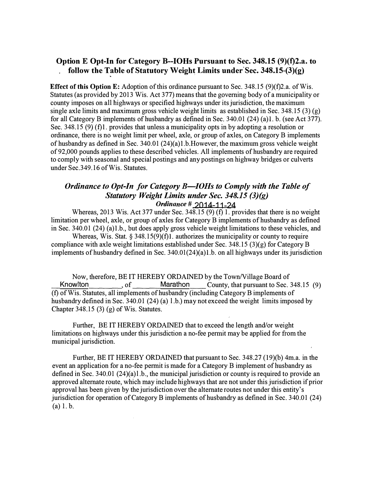## **Option E Opt-In for Category B--IOHs Pursuant to Sec. 348.15 (9)(1)2.a. to follow the Table of Statutory Weight Limits under Sec. 348.15-(3)(g)**

**Effect of this Option E:** Adoption of this ordinance pursuant to Sec. 348.15 (9)(f)2.a. of Wis. Statutes (as provided by 2013 Wis. Act 377) means that the governing body of a municipality or county imposes on all highways or specified highways under its jurisdiction, the maximum single axle limits and maximum gross vehicle weight limits as established in Sec. 348.15 (3) (g) for all Category B implements of husbandry as defined in Sec. 340.01 (24) (a)l. b. (see Act 377). Sec. 348.15 (9) (f)1. provides that unless a municipality opts in by adopting a resolution or ordinance, there is no weight limit per wheel, axle, or group of axles, on Category B implements of husbandry as defined in Sec. 340.01 (24)(a)I.b.However; the maximum gross vehicle weight of 92,000 pounds applies to these described vehicles. All implements of husbandry are required to comply with seasonal and special postings and any postings on highway bridges or culverts under Sec.349.16 of Wis. Statutes.

## *Ordinance to Opt-In for Category B—IOHs to Comply with the Table of Statutory Weight Limits under Sec. 348.15 (3)(g) Or<linance* **# 2014-11-24**

Whereas, 2013 Wis. Act 377 under Sec. 348.15 (9) (f) 1. provides that there is no weight limitation per wheel, axle, or group of axles for Category B implements of husbandry as defined in Sec. 340.01 (24) (a)I.b., but does apply gross vehicle weight limitations to these vehicles, and

Whereas, Wis. Stat.  $\S 348.15(9)(f)1$ . authorizes the municipality or county to require compliance with axle weight limitations established under Sec. 348.15 (3)(g) for Category B implements of husbandry defined in Sec. 340.01(24)(a)l.b. on all highways under its jurisdiction

Now, therefore, BE IT HEREBY ORDAINED by the Town/Village Board of Knowlton 6.5 community, of Marathon County, that pursuant to Sec. County, that pursuant to Sec. 348.15 (9) (f) of Wis. Statutes, all implements of husbandry (including Category B implements of husbandry defined in Sec. 340.01 (24) (a) 1.b.) may not exceed the weight limits imposed by Chapter 348.15 (3)  $(g)$  of Wis. Statutes.

Further, BE IT HEREBY ORDAINED that to exceed the length and/or weight limitations on highways under this jurisdiction a no-fee permit may be applied for from the municipal jurisdiction.

Further, BE IT HEREBY ORDAINED that pursuant to Sec. 348.27 (19)(b) 4m.a. in the event an application for a no-fee permit is made for a Category B implement of husbandry as defined in Sec. 340.01  $(24)(a)$ ]. b., the municipal jurisdiction or county is required to provide an approved alternate route, which may include highways that are not under this jurisdiction if prior approval has been given by the jurisdiction over the alternate routes not under this entity's jurisdiction for operation of Category B implements of husbandry as defined in Sec. 340.01 (24) (a) 1. b.